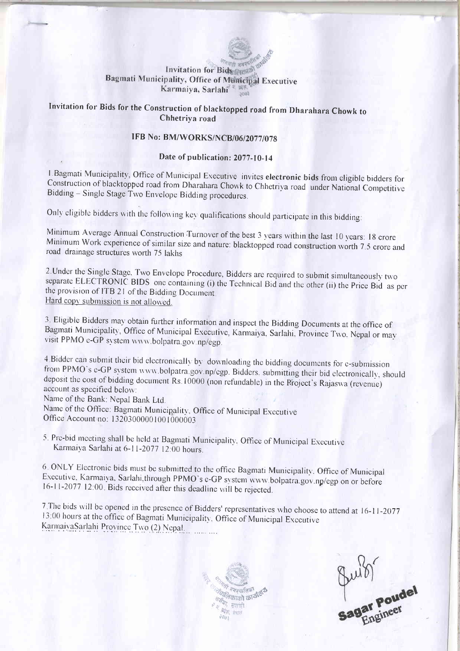#### लमती अमरम Invitation for Bids Bagmati Municipality, Office of Municipal Executive Karmaiya, Sarlahi<sup>2 a utt</sup>

# Invitation for Bids for the Construction of blacktopped road from Dharahara Chowk to Chhetriya road

## IFB No: BM/WORKS/NCB/06/2077/078

### Date of publication: 2077\_10\_14

1. Bagmati Municipality, Office of Municipal Executive invites electronic bids from eligible bidders for Construction of blacktopped road from Dharahara Chowk to Chhetriya road under National Competitive Bidding - Single S

Only eligible bidders with the following key qualifications should participate in this bidding:

Minimum Average Annual Construction Turnover of the best 3 years within the last 10 years: 18 crore<br>Minimum Work experience of similar size and nature: blacktopped road construction worth 7.5 crore and<br>road drainage struct

2. Under the Single Stage. Two Envelope Procedure, Bidders are required to submit simultaneously two separate ELECTRONIC BIDS one containing (i) the Technical Bid and the other (ii) the Price Bid as per the provision of ITB 21 of the Bidding Document. Hard copy submission is not allowed.

3. Eligible Bidders may obtain further information and inspect the Bidding Documents at the office of Bagmati Municipality, Office of Municipal Executive, Karmaiya, Sarlahi, Province Two. Nepal or may visit PPMO e-GP syste

4. Bidder can submit their bid electronically by downloading the bidding documents for e-submission<br>from PPMO's e-GP system www.bolpatra.gov.np/egp. Bidders, submitting their bid electronically, should<br>deposit the cost of shou deposit the cost of bidding document Rs. 10000 (non refundable) in the Project's Rajaswa (revenue) account as specified below.

Name of the Bank: Nepal Bank Ltd.

,

Name of the Office: Bagmati Municipality, Office of Municipal Executive Office Account no: 13203000001001000003

5. Pre-bid meeting shall be held at Bagmati Municipality, Office of Municipal Executive Karmaiya Sarlahi at 6-11-2077 12:00 hours.

6. ONLY Electronic bids must be submitted to the office Bagmati Municipality. Office of Municipal Executive, Karmaiya, Sarlahi, through PPMO's e-GP system www.bolpatra.gov.np/egp on or before 16-11-2077 12:00. Bids receive

7. The bids will be opened in the presence of Bidders' representatives who choose to attend at 16-11-2077 13:00 hours at the office of Bagmati Municipality. Office of Municipal Executive KarmaiyaSarlahi Province Two (2) Nepal.



quibi<br>Sagar Poudel